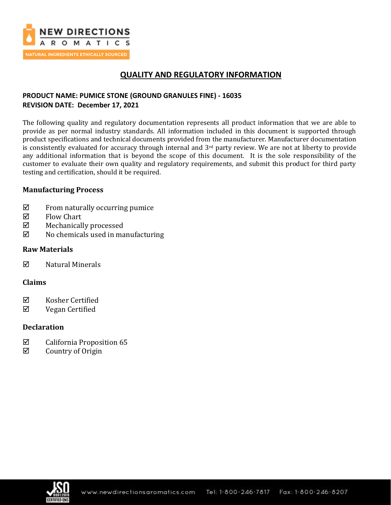

# **QUALITY AND REGULATORY INFORMATION**

## **PRODUCT NAME: PUMICE STONE (GROUND GRANULES FINE) - 16035 REVISION DATE: December 17, 2021**

The following quality and regulatory documentation represents all product information that we are able to provide as per normal industry standards. All information included in this document is supported through product specifications and technical documents provided from the manufacturer. Manufacturer documentation is consistently evaluated for accuracy through internal and 3<sup>rd</sup> party review. We are not at liberty to provide any additional information that is beyond the scope of this document. It is the sole responsibility of the customer to evaluate their own quality and regulatory requirements, and submit this product for third party testing and certification, should it be required.

## **Manufacturing Process**

- $\boxtimes$  From naturally occurring pumice
- $\nabla$  Flow Chart
- Mechanically processed
- $\boxtimes$  No chemicals used in manufacturing

## **Raw Materials**

 $\nabla$  Natural Minerals

### **Claims**

- $\boxtimes$  Kosher Certified
- Vegan Certified

### **Declaration**

- $\boxtimes$  California Proposition 65
- $\boxtimes$  Country of Origin

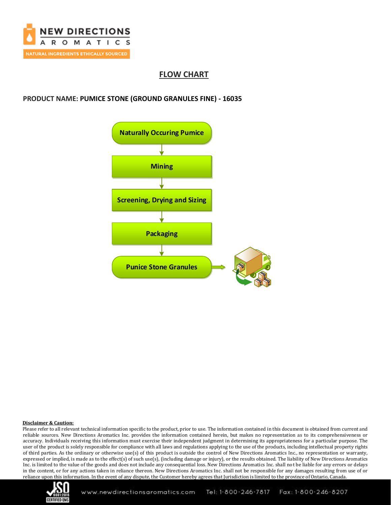

# **FLOW CHART**

#### **PRODUCT NAME: PUMICE STONE (GROUND GRANULES FINE) - 16035**



#### **Disclaimer & Caution:**

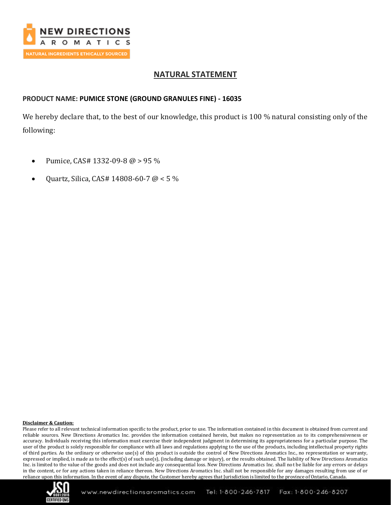

## **NATURAL STATEMENT**

## **PRODUCT NAME: PUMICE STONE (GROUND GRANULES FINE) - 16035**

We hereby declare that, to the best of our knowledge, this product is 100 % natural consisting only of the following:

- Pumice, CAS# 1332-09-8 @ > 95 %
- Quartz, Silica, CAS# 14808-60-7 @ < 5 %

#### **Disclaimer & Caution:**

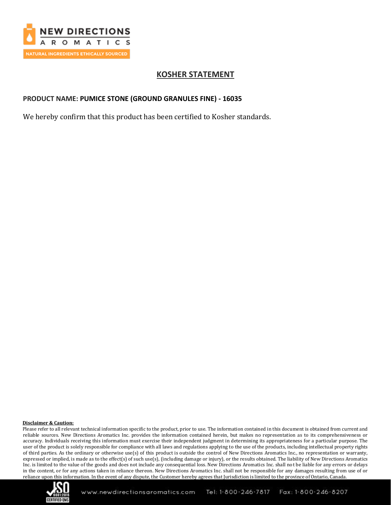

## **KOSHER STATEMENT**

### **PRODUCT NAME: PUMICE STONE (GROUND GRANULES FINE) - 16035**

We hereby confirm that this product has been certified to Kosher standards.

#### **Disclaimer & Caution:**

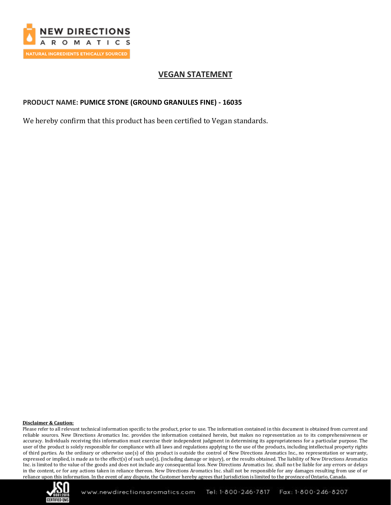

## **VEGAN STATEMENT**

#### **PRODUCT NAME: PUMICE STONE (GROUND GRANULES FINE) - 16035**

We hereby confirm that this product has been certified to Vegan standards.

#### **Disclaimer & Caution:**

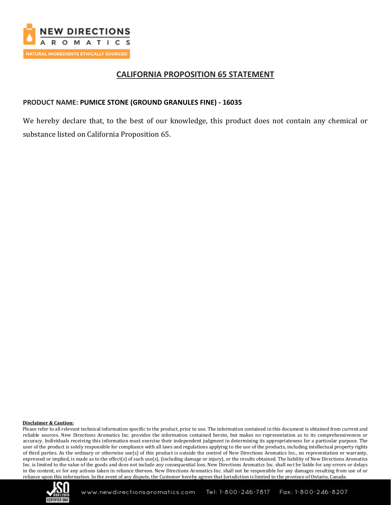

## **CALIFORNIA PROPOSITION 65 STATEMENT**

#### **PRODUCT NAME: PUMICE STONE (GROUND GRANULES FINE) - 16035**

We hereby declare that, to the best of our knowledge, this product does not contain any chemical or substance listed on California Proposition 65.

#### **Disclaimer & Caution:**